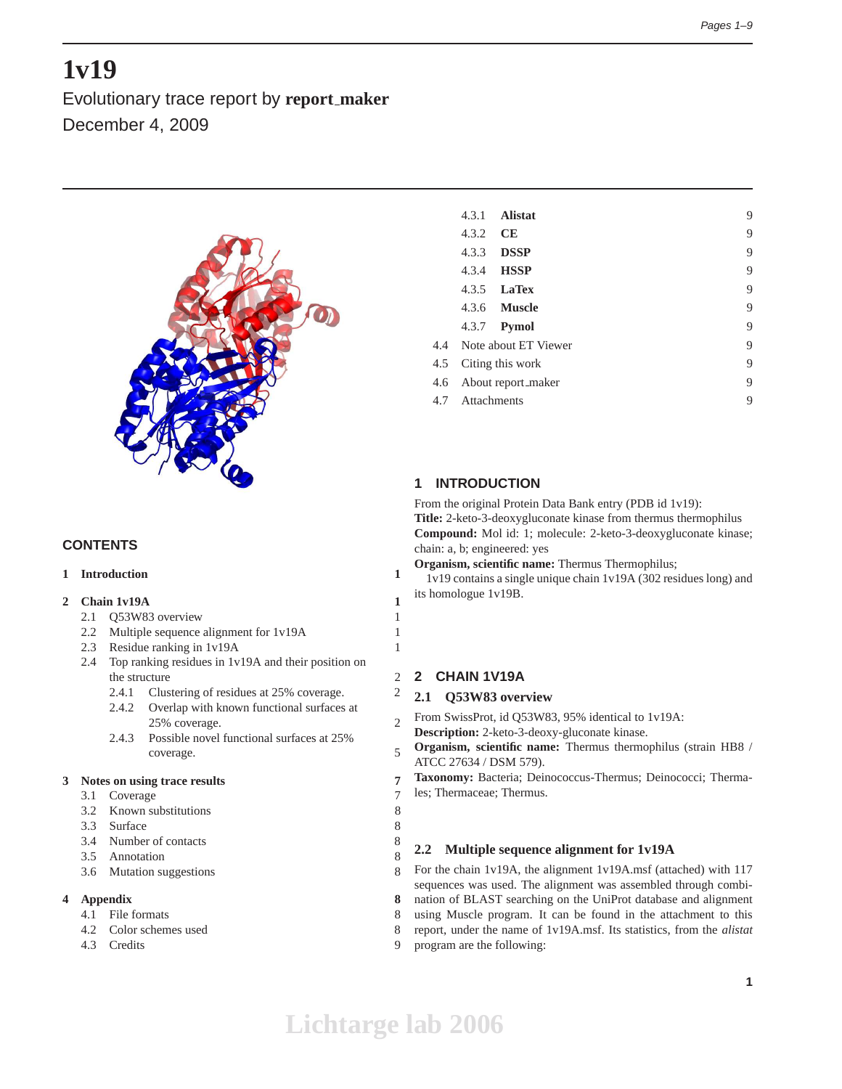# **1v19**

Evolutionary trace report by **report maker** December 4, 2009



# **CONTENTS**

## **1 Introduction 1**

# **2 Chain 1v19A 1**

- 2.1 Q53W83 overview 1
- 2.2 Multiple sequence alignment for 1v19A 1
- 2.3 Residue ranking in 1v19A 1
- 2.4 Top ranking residues in 1v19A and their position on the structure 2
	- 2.4.1 Clustering of residues at 25% coverage. 2
	- 2.4.2 Overlap with known functional surfaces at 25% coverage. 2
	- 2.4.3 Possible novel functional surfaces at 25% coverage. 5

#### **3 Notes on using trace results 7**

- 3.1 Coverage 7
- 3.2 Known substitutions 8
- 3.3 Surface 8
- 3.4 Number of contacts 8
- 3.5 Annotation 8
- 3.6 Mutation suggestions 8

# **4 Appendix 8**

- 4.1 File formats 8
- 4.2 Color schemes used 8
- 4.3 Credits 9

|     | 4.3.1       | <b>Alistat</b>           | 9 |
|-----|-------------|--------------------------|---|
|     | 4.3.2       | CE                       | 9 |
|     | 4.3.3       | <b>DSSP</b>              | 9 |
|     | 4.3.4       | <b>HSSP</b>              | 9 |
|     |             | 4.3.5 <b>LaTex</b>       | 9 |
|     |             | 4.3.6 <b>Muscle</b>      | 9 |
|     |             | 4.3.7 <b>Pymol</b>       | 9 |
|     |             | 4.4 Note about ET Viewer | 9 |
| 4.5 |             | Citing this work         | 9 |
| 4.6 |             | About report_maker       | 9 |
| 4.7 | Attachments |                          | 9 |
|     |             |                          |   |

# **1 INTRODUCTION**

From the original Protein Data Bank entry (PDB id 1v19): **Title:** 2-keto-3-deoxygluconate kinase from thermus thermophilus **Compound:** Mol id: 1; molecule: 2-keto-3-deoxygluconate kinase; chain: a, b; engineered: yes

**Organism, scientific name:** Thermus Thermophilus;

1v19 contains a single unique chain 1v19A (302 residues long) and its homologue 1v19B.

# **2 CHAIN 1V19A**

# **2.1 Q53W83 overview**

From SwissProt, id Q53W83, 95% identical to 1v19A: **Description:** 2-keto-3-deoxy-gluconate kinase.

**Organism, scientific name:** Thermus thermophilus (strain HB8 / ATCC 27634 / DSM 579).

**Taxonomy:** Bacteria; Deinococcus-Thermus; Deinococci; Thermales; Thermaceae; Thermus.

# **2.2 Multiple sequence alignment for 1v19A**

For the chain 1v19A, the alignment 1v19A.msf (attached) with 117 sequences was used. The alignment was assembled through combination of BLAST searching on the UniProt database and alignment using Muscle program. It can be found in the attachment to this report, under the name of 1v19A.msf. Its statistics, from the *alistat* program are the following: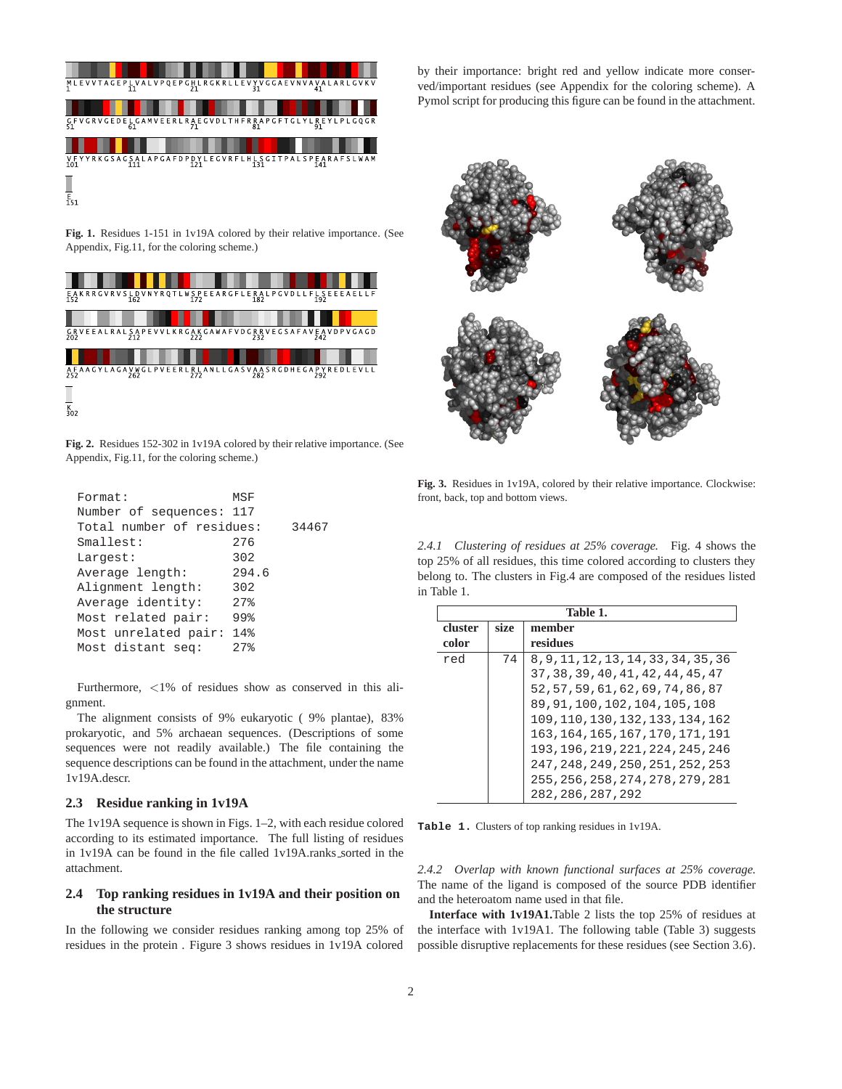

**Fig. 1.** Residues 1-151 in 1v19A colored by their relative importance. (See Appendix, Fig.11, for the coloring scheme.)



**Fig. 2.** Residues 152-302 in 1v19A colored by their relative importance. (See Appendix, Fig.11, for the coloring scheme.)

| Format:                   | MSF               |       |
|---------------------------|-------------------|-------|
| Number of sequences: 117  |                   |       |
| Total number of residues: |                   | 34467 |
| Smallest:                 | 276               |       |
| Largest:                  | 302               |       |
| Average length:           | 294.6             |       |
| Alignment length:         | 302               |       |
| Average identity:         | $27$ <sup>2</sup> |       |
| Most related pair:        | 99%               |       |
| Most unrelated pair:      | 14%               |       |
| Most distant seq:         | 27%               |       |
|                           |                   |       |

Furthermore, <1% of residues show as conserved in this alignment.

The alignment consists of 9% eukaryotic ( 9% plantae), 83% prokaryotic, and 5% archaean sequences. (Descriptions of some sequences were not readily available.) The file containing the sequence descriptions can be found in the attachment, under the name 1v19A.descr.

#### **2.3 Residue ranking in 1v19A**

The 1v19A sequence is shown in Figs. 1–2, with each residue colored according to its estimated importance. The full listing of residues in 1v19A can be found in the file called 1v19A.ranks\_sorted in the attachment.

## **2.4 Top ranking residues in 1v19A and their position on the structure**

In the following we consider residues ranking among top 25% of residues in the protein . Figure 3 shows residues in 1v19A colored by their importance: bright red and yellow indicate more conserved/important residues (see Appendix for the coloring scheme). A Pymol script for producing this figure can be found in the attachment.



**Fig. 3.** Residues in 1v19A, colored by their relative importance. Clockwise: front, back, top and bottom views.

*2.4.1 Clustering of residues at 25% coverage.* Fig. 4 shows the top 25% of all residues, this time colored according to clusters they belong to. The clusters in Fig.4 are composed of the residues listed in Table 1.

|         | Table 1. |                                      |  |  |
|---------|----------|--------------------------------------|--|--|
| cluster | size     | member                               |  |  |
| color   |          | residues                             |  |  |
| red     | 74       | 8, 9, 11, 12, 13, 14, 33, 34, 35, 36 |  |  |
|         |          | 37, 38, 39, 40, 41, 42, 44, 45, 47   |  |  |
|         |          | 52, 57, 59, 61, 62, 69, 74, 86, 87   |  |  |
|         |          | 89, 91, 100, 102, 104, 105, 108      |  |  |
|         |          | 109, 110, 130, 132, 133, 134, 162    |  |  |
|         |          | 163.164.165.167.170.171.191          |  |  |
|         |          | 193, 196, 219, 221, 224, 245, 246    |  |  |
|         |          | 247, 248, 249, 250, 251, 252, 253    |  |  |
|         |          | 255, 256, 258, 274, 278, 279, 281    |  |  |
|         |          | 282, 286, 287, 292                   |  |  |

**Table 1.** Clusters of top ranking residues in 1v19A.

*2.4.2 Overlap with known functional surfaces at 25% coverage.* The name of the ligand is composed of the source PDB identifier and the heteroatom name used in that file.

**Interface with 1v19A1.**Table 2 lists the top 25% of residues at the interface with 1v19A1. The following table (Table 3) suggests possible disruptive replacements for these residues (see Section 3.6).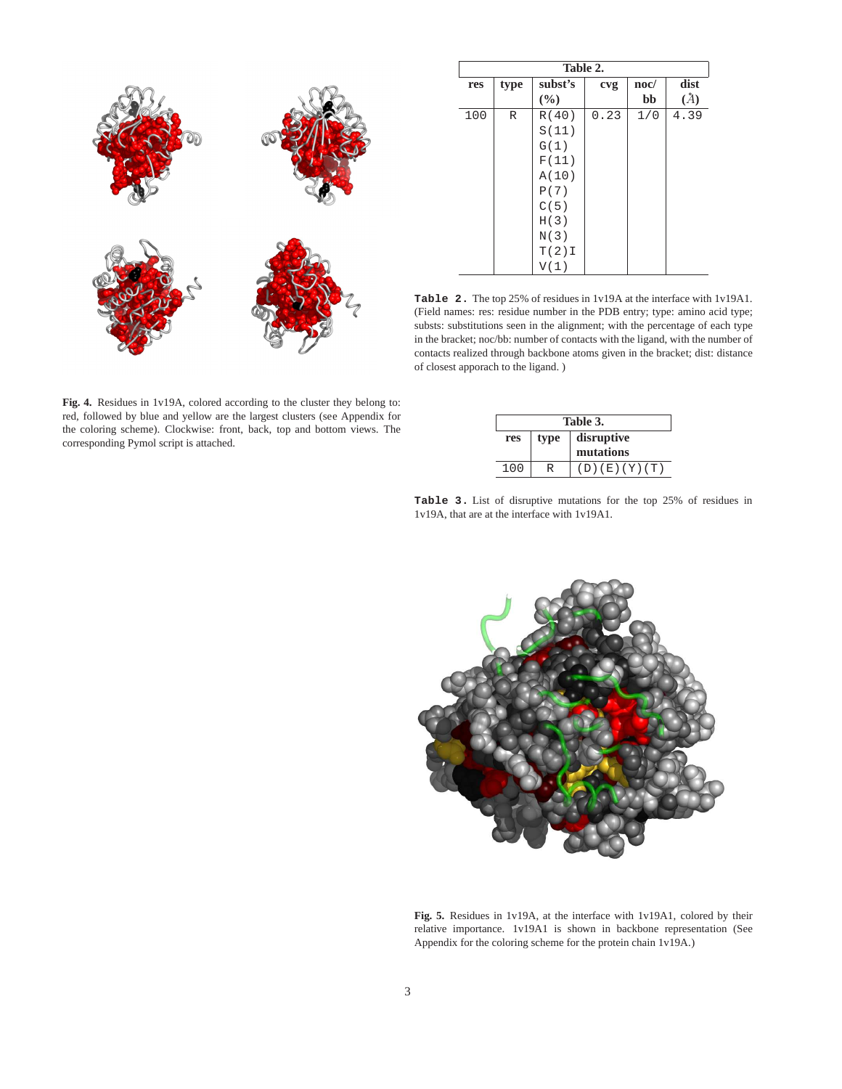

**Table 2. res type subst's cvg noc/ dist cvg bb** *(A)*  $(\%)$  **bb**  $100$  R R(40) 0.23 1/0 4.39 S(11) G(1) F(11) A(10) P(7)  $C(5)$ H(3) N(3)  $T(2)I$ V(1)

**Table 2.** The top 25% of residues in 1v19A at the interface with 1v19A1. (Field names: res: residue number in the PDB entry; type: amino acid type; substs: substitutions seen in the alignment; with the percentage of each type in the bracket; noc/bb: number of contacts with the ligand, with the number of contacts realized through backbone atoms given in the bracket; dist: distance of closest apporach to the ligand. )

|     | Table 3.           |              |  |  |
|-----|--------------------|--------------|--|--|
| res | disruptive<br>type |              |  |  |
|     |                    | mutations    |  |  |
| 100 |                    | (D)(E)(Y)(T) |  |  |

**Table 3.** List of disruptive mutations for the top 25% of residues in 1v19A, that are at the interface with 1v19A1.



**Fig. 5.** Residues in 1v19A, at the interface with 1v19A1, colored by their relative importance. 1v19A1 is shown in backbone representation (See Appendix for the coloring scheme for the protein chain 1v19A.)

**Fig. 4.** Residues in 1v19A, colored according to the cluster they belong to: red, followed by blue and yellow are the largest clusters (see Appendix for the coloring scheme). Clockwise: front, back, top and bottom views. The corresponding Pymol script is attached.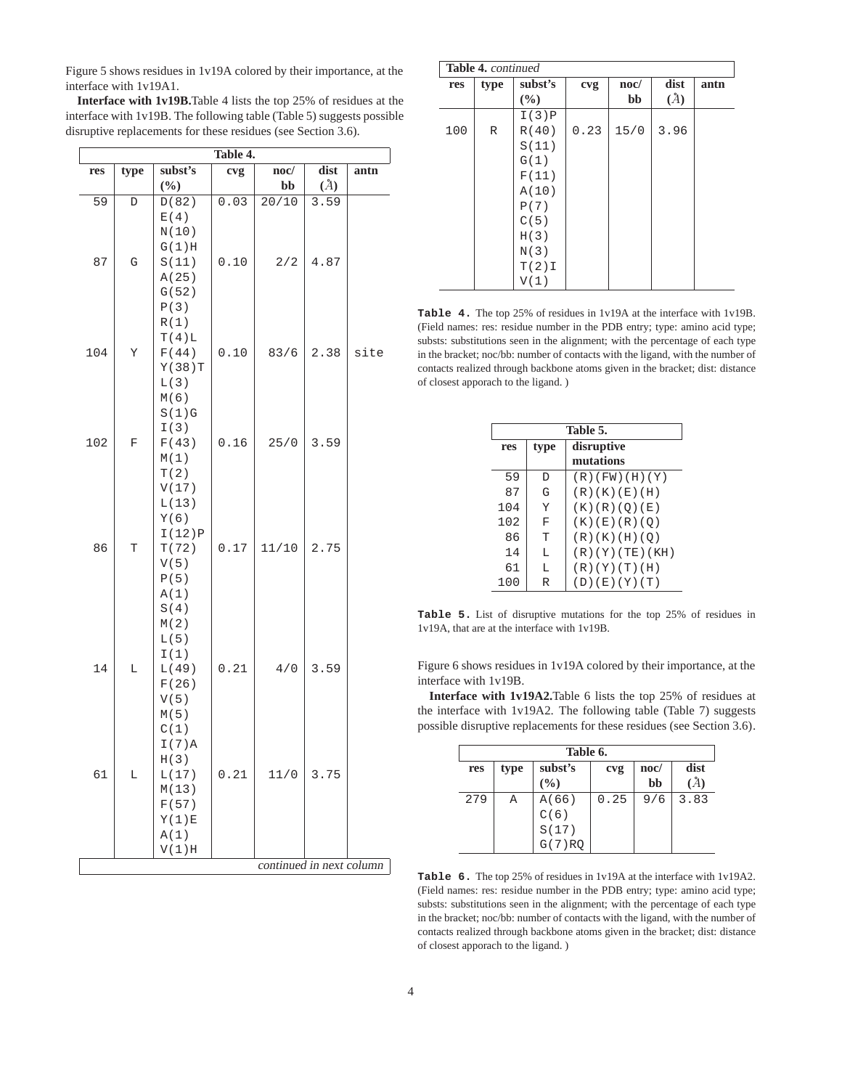Figure 5 shows residues in 1v19A colored by their importance, at the interface with 1v19A1.

**Interface with 1v19B.**Table 4 lists the top 25% of residues at the interface with 1v19B. The following table (Table 5) suggests possible disruptive replacements for these residues (see Section 3.6).

|     | Table 4.      |                 |                   |                          |      |      |
|-----|---------------|-----------------|-------------------|--------------------------|------|------|
| res | type          | subst's         | cvg               | noc/                     | dist | antn |
|     |               | $(\frac{0}{0})$ |                   | bb                       | (A)  |      |
| 59  | D             | D(82)           | $0.\overline{03}$ | 20/10                    | 3.59 |      |
|     |               | E(4)<br>N(10)   |                   |                          |      |      |
|     |               | G(1)H           |                   |                          |      |      |
| 87  | ${\mathbf G}$ | S(11)           | 0.10              | 2/2                      | 4.87 |      |
|     |               | A(25)           |                   |                          |      |      |
|     |               | G(52)<br>P(3)   |                   |                          |      |      |
|     |               | R(1)            |                   |                          |      |      |
|     |               | T(4)L           |                   |                          |      |      |
| 104 | Υ             | F(44)           | 0.10              | 83/6                     | 2.38 | site |
|     |               | Y(38)T<br>L(3)  |                   |                          |      |      |
|     |               | M(6)            |                   |                          |      |      |
|     |               | S(1)G           |                   |                          |      |      |
| 102 | F             | I(3)<br>F(43)   | 0.16              | 25/0                     | 3.59 |      |
|     |               | M(1)            |                   |                          |      |      |
|     |               | T(2)            |                   |                          |      |      |
|     |               | V(17)           |                   |                          |      |      |
|     |               | L(13)<br>Y(6)   |                   |                          |      |      |
|     |               | I(12)P          |                   |                          |      |      |
| 86  | T             | T(72)           | 0.17              | 11/10                    | 2.75 |      |
|     |               | V(5)<br>P(5)    |                   |                          |      |      |
|     |               | A(1)            |                   |                          |      |      |
|     |               | S(4)            |                   |                          |      |      |
|     |               | M(2)            |                   |                          |      |      |
|     |               | L(5)<br>I(1)    |                   |                          |      |      |
| 14  | L             | L(49)           | 0.21              | 4/0                      | 3.59 |      |
|     |               | F(26)           |                   |                          |      |      |
|     |               | V(5)            |                   |                          |      |      |
|     |               | M(5)<br>C(1)    |                   |                          |      |      |
|     |               | I(7)A           |                   |                          |      |      |
|     |               | H(3)            |                   |                          |      |      |
| 61  | L             | L(17)<br>M(13)  | 0.21              | 11/0                     | 3.75 |      |
|     |               | F(57)           |                   |                          |      |      |
|     |               | Y(1)E           |                   |                          |      |      |
|     |               | A(1)            |                   |                          |      |      |
|     |               | V(1)H           |                   | continued in next column |      |      |
|     |               |                 |                   |                          |      |      |

| <b>Table 4. continued</b> |             |         |      |                 |      |      |
|---------------------------|-------------|---------|------|-----------------|------|------|
| res                       | type        | subst's | cvg  | $\mathbf{noc}/$ | dist | antn |
|                           |             | (%)     |      | bb              | (A)  |      |
|                           |             | I(3)P   |      |                 |      |      |
| 100                       | $\mathbb R$ | R(40)   | 0.23 | 15/0            | 3.96 |      |
|                           |             | S(11)   |      |                 |      |      |
|                           |             | G(1)    |      |                 |      |      |
|                           |             | F(11)   |      |                 |      |      |
|                           |             | A(10)   |      |                 |      |      |
|                           |             | P(7)    |      |                 |      |      |
|                           |             | C(5)    |      |                 |      |      |
|                           |             | H(3)    |      |                 |      |      |
|                           |             | N(3)    |      |                 |      |      |
|                           |             | T(2)I   |      |                 |      |      |
|                           |             | V(1)    |      |                 |      |      |

**Table 4.** The top 25% of residues in 1v19A at the interface with 1v19B. (Field names: res: residue number in the PDB entry; type: amino acid type; substs: substitutions seen in the alignment; with the percentage of each type in the bracket; noc/bb: number of contacts with the ligand, with the number of contacts realized through backbone atoms given in the bracket; dist: distance of closest apporach to the ligand. )

|     |                    | Table 5.        |  |
|-----|--------------------|-----------------|--|
| res | disruptive<br>type |                 |  |
|     |                    | mutations       |  |
| 59  | D                  | (R)(FW)(H)(Y)   |  |
| 87  | G                  | (R)(K)(E)(H)    |  |
| 104 | Υ                  | (K) (R) (Q) (E) |  |
| 102 | F                  | (K)(E)(R)(O)    |  |
| 86  | т                  | (R)(K)(H)(O)    |  |
| 14  | т.                 | (R)(Y)(TE)(KH)  |  |
| 61  | L                  | (R)(Y)(T)(H)    |  |
| 100 | R                  | (D)(E)(Y)(T)    |  |

**Table 5.** List of disruptive mutations for the top 25% of residues in 1v19A, that are at the interface with 1v19B.

Figure 6 shows residues in 1v19A colored by their importance, at the interface with 1v19B.

**Interface with 1v19A2.**Table 6 lists the top 25% of residues at the interface with 1v19A2. The following table (Table 7) suggests possible disruptive replacements for these residues (see Section 3.6).

|     | Table 6. |         |      |                 |      |
|-----|----------|---------|------|-----------------|------|
| res | type     | subst's | cvg  | $\mathbf{noc}/$ | dist |
|     |          | (%)     |      | bb              |      |
| 279 | Α        | A(66)   | 0.25 | 9/6             | 3.83 |
|     |          | C(6)    |      |                 |      |
|     |          | S(17)   |      |                 |      |
|     |          | G(7)RO  |      |                 |      |

**Table 6.** The top 25% of residues in 1v19A at the interface with 1v19A2. (Field names: res: residue number in the PDB entry; type: amino acid type; substs: substitutions seen in the alignment; with the percentage of each type in the bracket; noc/bb: number of contacts with the ligand, with the number of contacts realized through backbone atoms given in the bracket; dist: distance of closest apporach to the ligand. )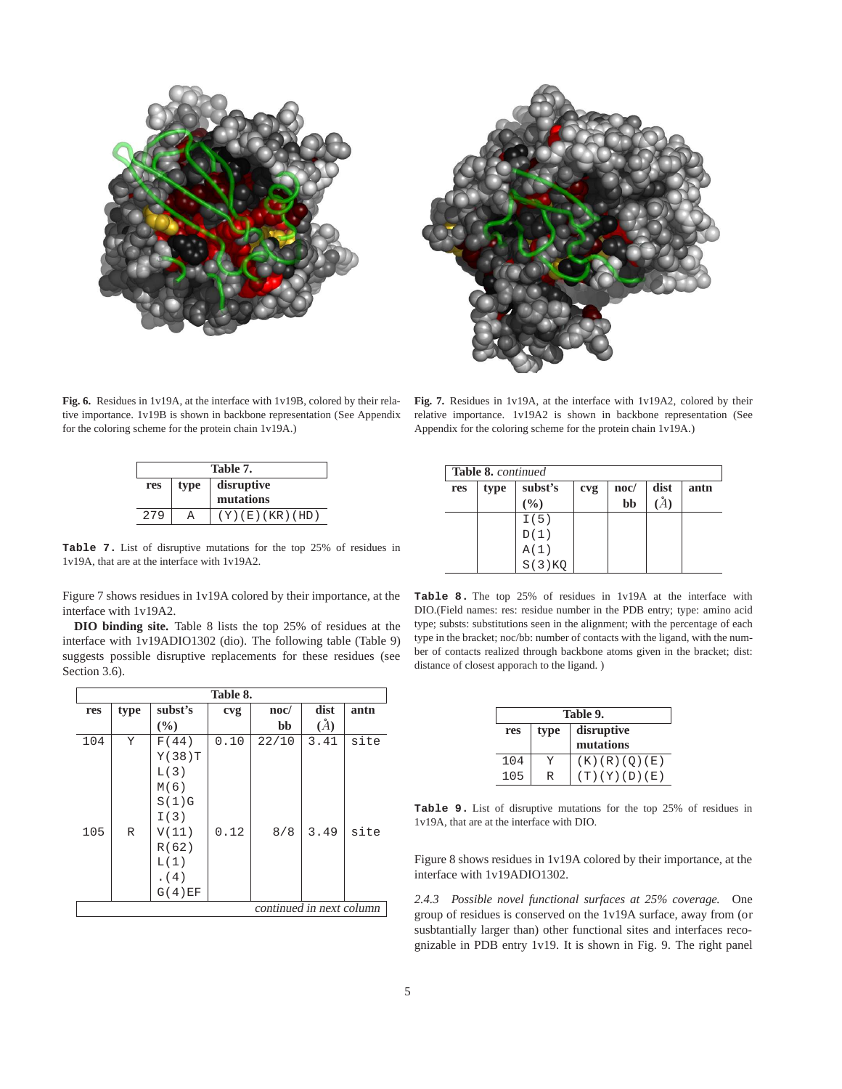



**Fig. 6.** Residues in 1v19A, at the interface with 1v19B, colored by their relative importance. 1v19B is shown in backbone representation (See Appendix for the coloring scheme for the protein chain 1v19A.)

| Table 7. |                    |                |  |
|----------|--------------------|----------------|--|
| res      | disruptive<br>type |                |  |
|          |                    | mutations      |  |
| 279      |                    | (Y)(E)(KR)(HD) |  |

**Table 7.** List of disruptive mutations for the top 25% of residues in 1v19A, that are at the interface with 1v19A2.

Figure 7 shows residues in 1v19A colored by their importance, at the interface with 1v19A2.

**DIO binding site.** Table 8 lists the top 25% of residues at the interface with 1v19ADIO1302 (dio). The following table (Table 9) suggests possible disruptive replacements for these residues (see Section 3.6).

|     | Table 8. |         |      |                          |      |      |  |
|-----|----------|---------|------|--------------------------|------|------|--|
| res | type     | subst's | cvg  | $\mathbf{noc}/$          | dist | antn |  |
|     |          | (%)     |      | bb                       | (A)  |      |  |
| 104 | Y        | F(44)   | 0.10 | 22/10                    | 3.41 | site |  |
|     |          | Y(38)T  |      |                          |      |      |  |
|     |          | L(3)    |      |                          |      |      |  |
|     |          | M(6)    |      |                          |      |      |  |
|     |          | S(1)G   |      |                          |      |      |  |
|     |          | I(3)    |      |                          |      |      |  |
| 105 | R        | V(11)   | 0.12 | 8/8                      | 3.49 | site |  |
|     |          | R(62)   |      |                          |      |      |  |
|     |          | L(1)    |      |                          |      |      |  |
|     |          | (4)     |      |                          |      |      |  |
|     |          | G(4)EF  |      |                          |      |      |  |
|     |          |         |      | continued in next column |      |      |  |

**Fig. 7.** Residues in 1v19A, at the interface with 1v19A2, colored by their relative importance. 1v19A2 is shown in backbone representation (See Appendix for the coloring scheme for the protein chain 1v19A.)

|     | Table 8. continued |         |     |                 |      |      |
|-----|--------------------|---------|-----|-----------------|------|------|
| res | type               | subst's | cvg | $\mathbf{noc}/$ | dist | antn |
|     |                    | (9/0)   |     | bb              |      |      |
|     |                    | I(5)    |     |                 |      |      |
|     |                    |         |     |                 |      |      |
|     |                    | A(1)    |     |                 |      |      |
|     |                    | S(3)KO  |     |                 |      |      |

**Table 8.** The top 25% of residues in 1v19A at the interface with DIO.(Field names: res: residue number in the PDB entry; type: amino acid type; substs: substitutions seen in the alignment; with the percentage of each type in the bracket; noc/bb: number of contacts with the ligand, with the number of contacts realized through backbone atoms given in the bracket; dist: distance of closest apporach to the ligand. )

| Table 9.                  |  |              |  |  |
|---------------------------|--|--------------|--|--|
| disruptive<br>type<br>res |  |              |  |  |
|                           |  | mutations    |  |  |
| 104                       |  | (K)(R)(O)(E) |  |  |
| 105                       |  |              |  |  |

**Table 9.** List of disruptive mutations for the top 25% of residues in 1v19A, that are at the interface with DIO.

Figure 8 shows residues in 1v19A colored by their importance, at the interface with 1v19ADIO1302.

*2.4.3 Possible novel functional surfaces at 25% coverage.* One group of residues is conserved on the 1v19A surface, away from (or susbtantially larger than) other functional sites and interfaces recognizable in PDB entry 1v19. It is shown in Fig. 9. The right panel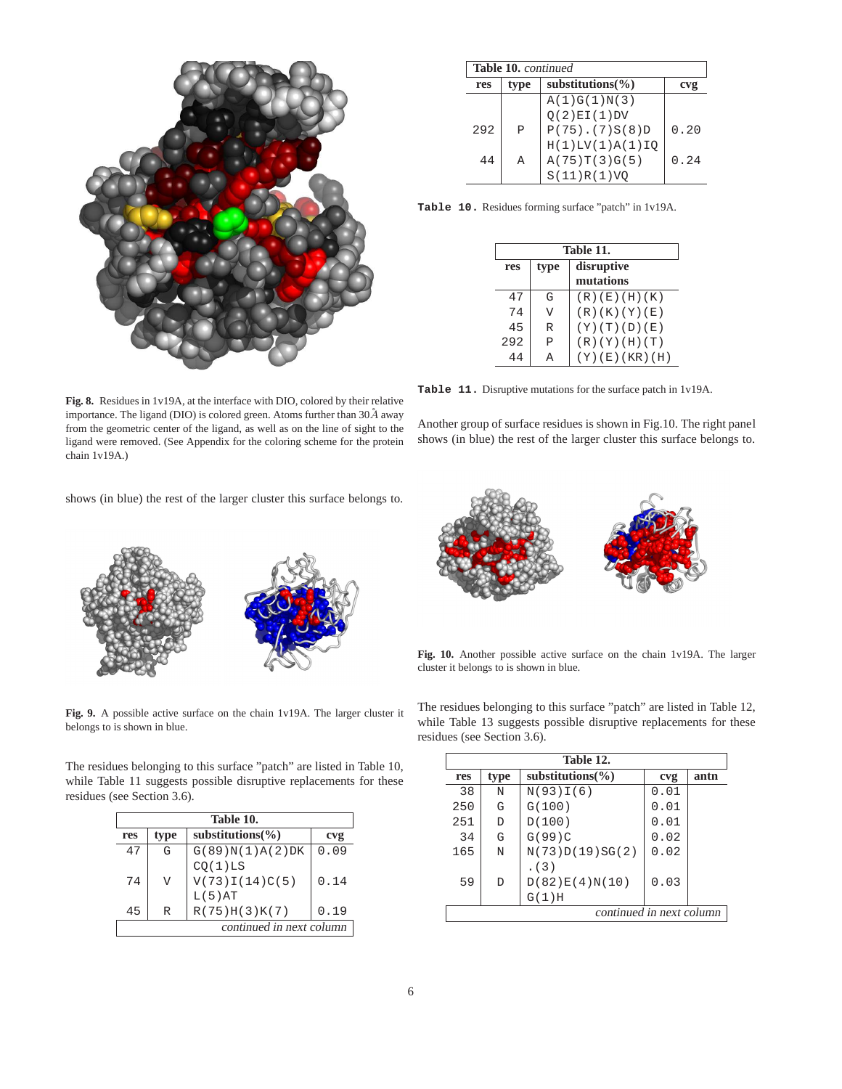

**Table 10.** continued **res type substitutions(%) cvg**  $A(1)G(1)N(3)$  $Q(2)E1(1)DV$ 292 P P(75).(7)S(8)D 0.20 H(1)LV(1)A(1)IQ  $44$  A  $A(75)T(3)G(5)$  0.24 S(11)R(1)VQ

**Table 10.** Residues forming surface "patch" in 1v19A.

|     | Table 11.          |               |  |
|-----|--------------------|---------------|--|
| res | disruptive<br>type |               |  |
|     |                    | mutations     |  |
| 47  | G                  | (R)(E)(H)(K)  |  |
| 74  | T                  | (R)(K)(Y)(E)  |  |
| 45  | R                  | (Y)(T)(D)(E)  |  |
| 292 | P                  | (R)(Y)(H)(T)  |  |
|     |                    | (Y)(E)(KR)(H) |  |

**Table 11.** Disruptive mutations for the surface patch in 1v19A.

Another group of surface residues is shown in Fig.10. The right panel shows (in blue) the rest of the larger cluster this surface belongs to.

**Fig. 8.** Residues in 1v19A, at the interface with DIO, colored by their relative importance. The ligand (DIO) is colored green. Atoms further than  $30\AA$  away from the geometric center of the ligand, as well as on the line of sight to the ligand were removed. (See Appendix for the coloring scheme for the protein chain 1v19A.)

shows (in blue) the rest of the larger cluster this surface belongs to.



**Fig. 10.** Another possible active surface on the chain 1v19A. The larger cluster it belongs to is shown in blue.

**Fig. 9.** A possible active surface on the chain 1v19A. The larger cluster it belongs to is shown in blue.

The residues belonging to this surface "patch" are listed in Table 10, while Table 11 suggests possible disruptive replacements for these residues (see Section 3.6).

| Table 10.                |                |                       |      |  |
|--------------------------|----------------|-----------------------|------|--|
| type<br>res              |                | substitutions $(\% )$ | cvg  |  |
| 47                       | G              | G(89)N(1)A(2)DK       | 0.09 |  |
|                          |                | CQ(1)LS               |      |  |
| 74                       | $\overline{V}$ | V(73)I(14)C(5)        | 0.14 |  |
|                          |                | L(5)AT                |      |  |
| 45                       | R              | R(75)H(3)K(7)         | 0.19 |  |
| continued in next column |                |                       |      |  |

The residues belonging to this surface "patch" are listed in Table 12, while Table 13 suggests possible disruptive replacements for these residues (see Section 3.6).

|     | Table 12.                |                       |      |      |
|-----|--------------------------|-----------------------|------|------|
| res | type                     | substitutions $(\% )$ | cvg  | antn |
| 38  | N                        | N(93)I(6)             | 0.01 |      |
| 250 | G                        | G(100)                | 0.01 |      |
| 251 | D                        | D(100)                | 0.01 |      |
| 34  | G                        | G(99)C                | 0.02 |      |
| 165 | N                        | N(73)D(19)SG(2)       | 0.02 |      |
|     |                          | (3)                   |      |      |
| 59  | D                        | D(82)E(4)N(10)        | 0.03 |      |
|     |                          | $G(1)$ H              |      |      |
|     | continued in next column |                       |      |      |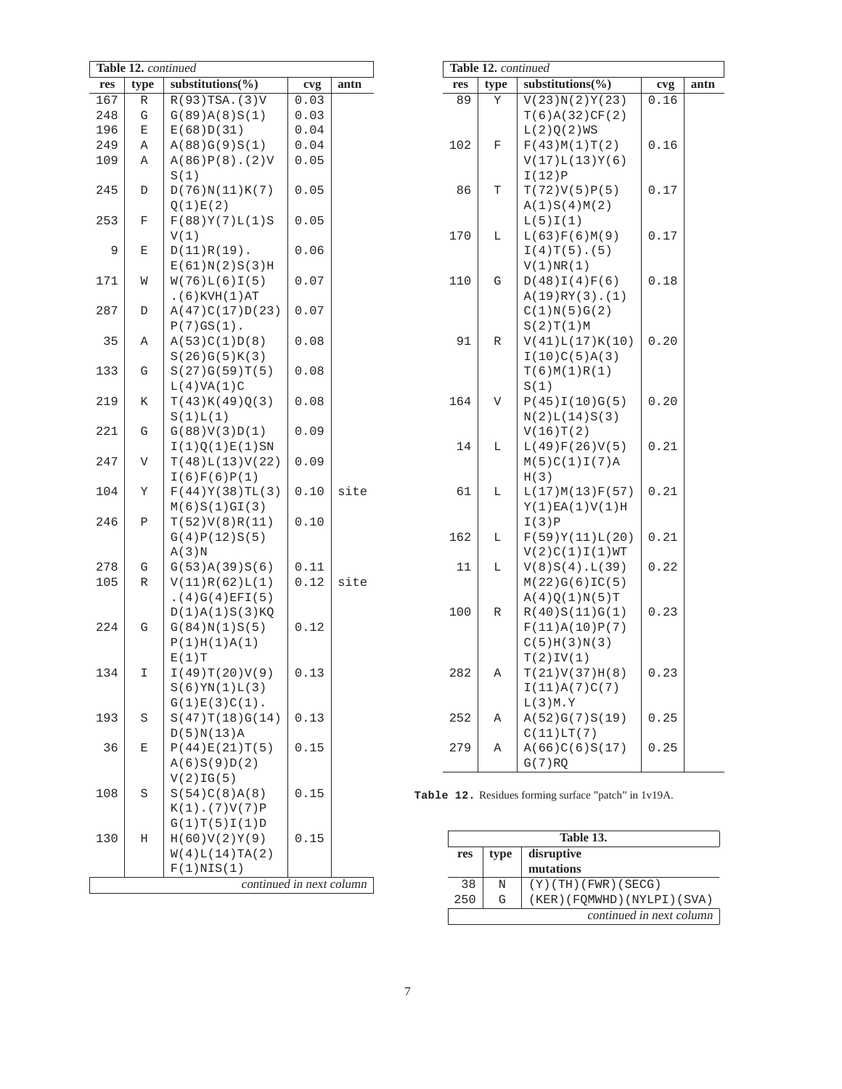| Table 12. continued |      |                                |      |      |  |
|---------------------|------|--------------------------------|------|------|--|
| res                 | type | substitutions(%)               | cvg  | antn |  |
| 167                 | R    | $R(93)$ TSA. $(3)V$            | 0.03 |      |  |
| 248                 | G    | G(89)A(8)S(1)                  | 0.03 |      |  |
| 196                 | Ε    | E(68)D(31)                     | 0.04 |      |  |
| 249                 | Α    | A(88)G(9)S(1)                  | 0.04 |      |  |
| 109                 | Α    | $A(86)P(8)$ . (2)V             | 0.05 |      |  |
|                     |      | S(1)                           |      |      |  |
| 245                 | D    | D(76)N(11)K(7)                 | 0.05 |      |  |
|                     |      | Q(1)E(2)                       |      |      |  |
| 253                 | F    | F(88)Y(7)L(1)S                 | 0.05 |      |  |
|                     |      | V(1)                           |      |      |  |
| 9                   | Ε    | $D(11)R(19)$ .                 | 0.06 |      |  |
|                     |      | E(61)N(2)S(3)H                 |      |      |  |
| 171                 | W    | W(76)L(6)I(5)                  | 0.07 |      |  |
|                     |      | $.$ $(6)$ KVH $(1)$ AT         |      |      |  |
| 287                 | D    | A(47)C(17)D(23)                | 0.07 |      |  |
|                     |      | $P(7)GS(1)$ .                  |      |      |  |
| 35                  | Α    | A(53)C(1)D(8)                  | 0.08 |      |  |
|                     |      | S(26)G(5)K(3)                  |      |      |  |
| 133                 | G    | S(27)G(59)T(5)<br>L(4) VA(1) C | 0.08 |      |  |
| 219                 | Κ    | T(43)K(49)Q(3)                 | 0.08 |      |  |
|                     |      | S(1)L(1)                       |      |      |  |
| 221                 | G    | G(88)V(3)D(1)                  | 0.09 |      |  |
|                     |      | I(1)Q(1)E(1)SN                 |      |      |  |
| 247                 | V    | T(48)L(13)V(22)                | 0.09 |      |  |
|                     |      | I(6)F(6)P(1)                   |      |      |  |
| 104                 | Υ    | F(44)Y(38)TL(3)                | 0.10 | site |  |
|                     |      | M(6)S(1)GI(3)                  |      |      |  |
| 246                 | Ρ    | T(52)V(8)R(11)                 | 0.10 |      |  |
|                     |      | G(4)P(12)S(5)                  |      |      |  |
|                     |      | A(3)N                          |      |      |  |
| 278                 | G    | G(53)A(39)S(6)                 | 0.11 |      |  |
| 105                 | R    | V(11)R(62)L(1)                 | 0.12 | site |  |
|                     |      | .(4)G(4)EFI(5)                 |      |      |  |
|                     |      | D(1)A(1)S(3)KQ                 |      |      |  |
| 224                 | G    | G(84)N(1)S(5)                  | 0.12 |      |  |
|                     |      | P(1)H(1)A(1)<br>$E(1)$ T       |      |      |  |
| 134                 | I    | I(49)T(20)V(9)                 | 0.13 |      |  |
|                     |      | S(6)YN(1)L(3)                  |      |      |  |
|                     |      | $G(1)E(3)C(1)$ .               |      |      |  |
| 193                 | S    | S(47)T(18)G(14)                | 0.13 |      |  |
|                     |      | D(5)N(13)A                     |      |      |  |
| 36                  | Ε    | P(44)E(21)T(5)                 | 0.15 |      |  |
|                     |      | A(6)S(9)D(2)                   |      |      |  |
|                     |      | V(2)IG(5)                      |      |      |  |
| 108                 | S    | S(54)C(8)A(8)                  | 0.15 |      |  |
|                     |      | $K(1)$ . (7) $V(7)$ P          |      |      |  |
|                     |      | G(1)T(5)I(1)D                  |      |      |  |
| 130                 | Η    | H(60)V(2)Y(9)                  | 0.15 |      |  |
|                     |      | W(4)L(14)TA(2)                 |      |      |  |
|                     |      | F(1)NIS(1)                     |      |      |  |
|                     |      | continued in next column       |      |      |  |

| Table 12. continued |      |                              |      |      |
|---------------------|------|------------------------------|------|------|
| res                 | type | substitutions( $\%$ )        | cvg  | antn |
| 89                  | Υ    | V(23)N(2)Y(23)               | 0.16 |      |
|                     |      | T(6)A(32)CF(2)               |      |      |
|                     |      | L(2)Q(2)WS                   |      |      |
| 102                 | F    | F(43)M(1)T(2)                | 0.16 |      |
|                     |      | V(17)L(13)Y(6)               |      |      |
|                     |      | I(12)P                       |      |      |
| 86                  | T    | T(72)V(5)P(5)                | 0.17 |      |
|                     |      | A(1)S(4)M(2)                 |      |      |
|                     |      | L(5)I(1)                     |      |      |
| 170                 | L    | L(63)F(6)M(9)                | 0.17 |      |
|                     |      | $I(4)T(5)$ . (5)             |      |      |
|                     |      | V(1)NR(1)                    |      |      |
| 110                 | G    | D(48)I(4)F(6)                | 0.18 |      |
|                     |      | $A(19)RY(3)$ . (1)           |      |      |
|                     |      | C(1)N(5)G(2)<br>S(2)T(1)M    |      |      |
| 91                  | R    | V(41)L(17)K(10)              | 0.20 |      |
|                     |      | I(10)C(5)A(3)                |      |      |
|                     |      | T(6)M(1)R(1)                 |      |      |
|                     |      | S(1)                         |      |      |
| 164                 | V    | P(45)I(10)G(5)               | 0.20 |      |
|                     |      | N(2)L(14)S(3)                |      |      |
|                     |      | V(16)T(2)                    |      |      |
| 14                  | L    | L(49)F(26)V(5)               | 0.21 |      |
|                     |      | M(5)C(1)I(7)A                |      |      |
|                     |      | H(3)                         |      |      |
| 61                  | L    | L(17)M(13)F(57)              | 0.21 |      |
|                     |      | Y(1)EA(1)V(1)H               |      |      |
|                     |      | I(3)P                        |      |      |
| 162                 | L    | F(59)Y(11)L(20)              | 0.21 |      |
|                     |      | V(2)C(1)I(1)WT               |      |      |
| 11                  | L    | $V(8)S(4)$ . $L(39)$         | 0.22 |      |
|                     |      | M(22)G(6)IC(5)               |      |      |
|                     |      | A(4)Q(1)N(5)T                |      |      |
| 100                 | R    | R(40)S(11)G(1)               | 0.23 |      |
|                     |      | F(11)A(10)P(7)               |      |      |
|                     |      | C(5)H(3)N(3)                 |      |      |
|                     |      | T(2)IV(1)                    |      |      |
| 282                 | Α    | T(21)V(37)H(8)               | 0.23 |      |
|                     |      | I(11)A(7)C(7)                |      |      |
|                     |      | L(3)M.Y                      |      |      |
| 252                 | Α    | A(52)G(7)S(19)<br>C(11)LT(7) | 0.25 |      |
| 279                 | Α    | A(66)C(6)S(17)               | 0.25 |      |
|                     |      | G(7)RO                       |      |      |
|                     |      |                              |      |      |

**Table 12.** Residues forming surface "patch" in 1v19A.

| Table 13.                 |   |                              |
|---------------------------|---|------------------------------|
| disruptive<br>type<br>res |   |                              |
|                           |   | mutations                    |
| 38                        | N | $(Y)$ (TH) (FWR) (SECG)      |
| 250                       | G | (KER) (FOMWHD) (NYLPI) (SVA) |
|                           |   | continued in next column     |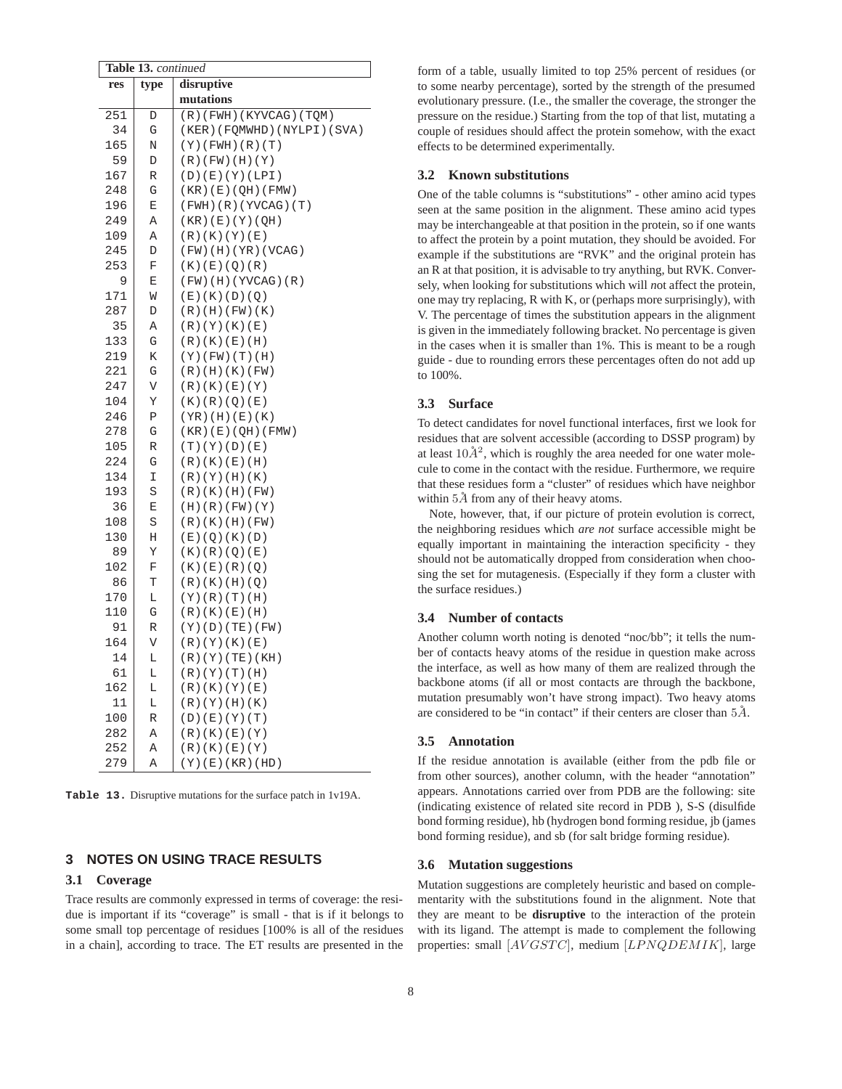|             |           | Table 13. continued |                                     |  |
|-------------|-----------|---------------------|-------------------------------------|--|
| res<br>type |           |                     | disruptive                          |  |
|             |           |                     | mutations                           |  |
|             | 251       | D                   | (R)(FWH)(KYVCAG)(TQM)               |  |
|             | 34        | G                   | (KER) (FQMWHD) (NYLPI) (SVA)        |  |
|             | 165       | Ν                   | $(Y)$ (FWH) $(R)$ (T)               |  |
|             | 59        | D                   | $(R)$ (FW) (H) (Y)                  |  |
|             | 167       | R                   | (D)(E)(Y)(LPI)                      |  |
|             | 248       | G                   | (KR) (E) (QH) (FMW)                 |  |
|             | 196       | E                   | $(FWH)$ (R) (YVCAG) (T)             |  |
|             | 249       | Α                   | (KR) (E) (Y) (QH)                   |  |
|             | 109       | Α                   | (R)(K)(Y)(E)                        |  |
|             | 245       | D                   | (FW)(H)(YR)(VCAG)                   |  |
|             | 253       | F                   | (K) (E) (Q) (R)                     |  |
|             | 9         | Ε                   | $(FW)$ (H) (YVCAG) $(R)$            |  |
|             | 171       | M                   | (E)(K)(D)(Q)                        |  |
|             | 287       | D                   | $(R)$ (H) (FW) (K)                  |  |
|             | 35        | Α                   | (R)(Y)(K)(E)                        |  |
|             | 133       | G                   | (R)(K)(E)(H)                        |  |
|             | 219       | Κ                   | $(Y)$ (FW) $(T)$ (H)                |  |
|             | 221       | G                   | (R)(H)(K)(FW)                       |  |
|             | 247       | V                   | (R)(K)(E)(Y)                        |  |
|             | 104       | Υ                   | (K) (R) (Q) (E)                     |  |
|             | 246       | Ρ                   | (YR)(H)(E)(K)                       |  |
|             | 278       | G                   | (KR) (E) (QH) (FMW)                 |  |
|             | 105       | R                   | (T)(Y)(D)(E)                        |  |
|             | 224       | G                   | (R)(K)(E)(H)                        |  |
|             | 134       | I                   | (R)(Y)(H)(K)                        |  |
|             | 193       | S                   | (R)(K)(H)(FW)                       |  |
|             | 36        | E                   | (H)(R)(FW)(Y)                       |  |
|             | 108       | S                   | (R)(K)(H)(FW)                       |  |
|             | 130       | Η                   | (E)(Q)(K)(D)                        |  |
|             | 89        | Υ                   | (K) (R) (Q) (E)                     |  |
|             | 102       | F                   | (K) (E) (R) (Q)                     |  |
|             | 86        | T                   | (R)(K)(H)(Q)                        |  |
|             | 170       | L                   | (Y)(R)(T)(H)                        |  |
|             | 110<br>91 | G                   | (R)(K)(E)(H)                        |  |
|             | 164       | R<br>V              | $(Y)$ (D) (TE) (FW)<br>(R)(Y)(K)(E) |  |
|             | 14        | L                   | (R)(Y)(TE)(KH)                      |  |
|             | 61        | L                   | (R)(Y)(T)(H)                        |  |
|             | 162       | L                   | (R)(K)(Y)(E)                        |  |
|             | 11        | L                   | (R)(Y)(H)(K)                        |  |
|             | 100       | R                   | (D) (E) (Y) (T)                     |  |
|             | 282       | Α                   | (R)(K)(E)(Y)                        |  |
|             | 252       | Α                   | (R)(K)(E)(Y)                        |  |
|             | 279       | Α                   | $(Y)$ (E) (KR) (HD)                 |  |
|             |           |                     |                                     |  |

**Table 13.** Disruptive mutations for the surface patch in 1v19A.

# **3 NOTES ON USING TRACE RESULTS**

#### **3.1 Coverage**

Trace results are commonly expressed in terms of coverage: the residue is important if its "coverage" is small - that is if it belongs to some small top percentage of residues [100% is all of the residues in a chain], according to trace. The ET results are presented in the form of a table, usually limited to top 25% percent of residues (or to some nearby percentage), sorted by the strength of the presumed evolutionary pressure. (I.e., the smaller the coverage, the stronger the pressure on the residue.) Starting from the top of that list, mutating a couple of residues should affect the protein somehow, with the exact effects to be determined experimentally.

#### **3.2 Known substitutions**

One of the table columns is "substitutions" - other amino acid types seen at the same position in the alignment. These amino acid types may be interchangeable at that position in the protein, so if one wants to affect the protein by a point mutation, they should be avoided. For example if the substitutions are "RVK" and the original protein has an R at that position, it is advisable to try anything, but RVK. Conversely, when looking for substitutions which will *n*ot affect the protein, one may try replacing, R with K, or (perhaps more surprisingly), with V. The percentage of times the substitution appears in the alignment is given in the immediately following bracket. No percentage is given in the cases when it is smaller than 1%. This is meant to be a rough guide - due to rounding errors these percentages often do not add up to 100%.

#### **3.3 Surface**

To detect candidates for novel functional interfaces, first we look for residues that are solvent accessible (according to DSSP program) by at least  $10\AA^2$ , which is roughly the area needed for one water molecule to come in the contact with the residue. Furthermore, we require that these residues form a "cluster" of residues which have neighbor within  $5\AA$  from any of their heavy atoms.

Note, however, that, if our picture of protein evolution is correct, the neighboring residues which *are not* surface accessible might be equally important in maintaining the interaction specificity - they should not be automatically dropped from consideration when choosing the set for mutagenesis. (Especially if they form a cluster with the surface residues.)

#### **3.4 Number of contacts**

Another column worth noting is denoted "noc/bb"; it tells the number of contacts heavy atoms of the residue in question make across the interface, as well as how many of them are realized through the backbone atoms (if all or most contacts are through the backbone, mutation presumably won't have strong impact). Two heavy atoms are considered to be "in contact" if their centers are closer than  $5\AA$ .

## **3.5 Annotation**

If the residue annotation is available (either from the pdb file or from other sources), another column, with the header "annotation" appears. Annotations carried over from PDB are the following: site (indicating existence of related site record in PDB ), S-S (disulfide bond forming residue), hb (hydrogen bond forming residue, jb (james bond forming residue), and sb (for salt bridge forming residue).

#### **3.6 Mutation suggestions**

Mutation suggestions are completely heuristic and based on complementarity with the substitutions found in the alignment. Note that they are meant to be **disruptive** to the interaction of the protein with its ligand. The attempt is made to complement the following properties: small [AVGSTC], medium [LPNQDEMIK], large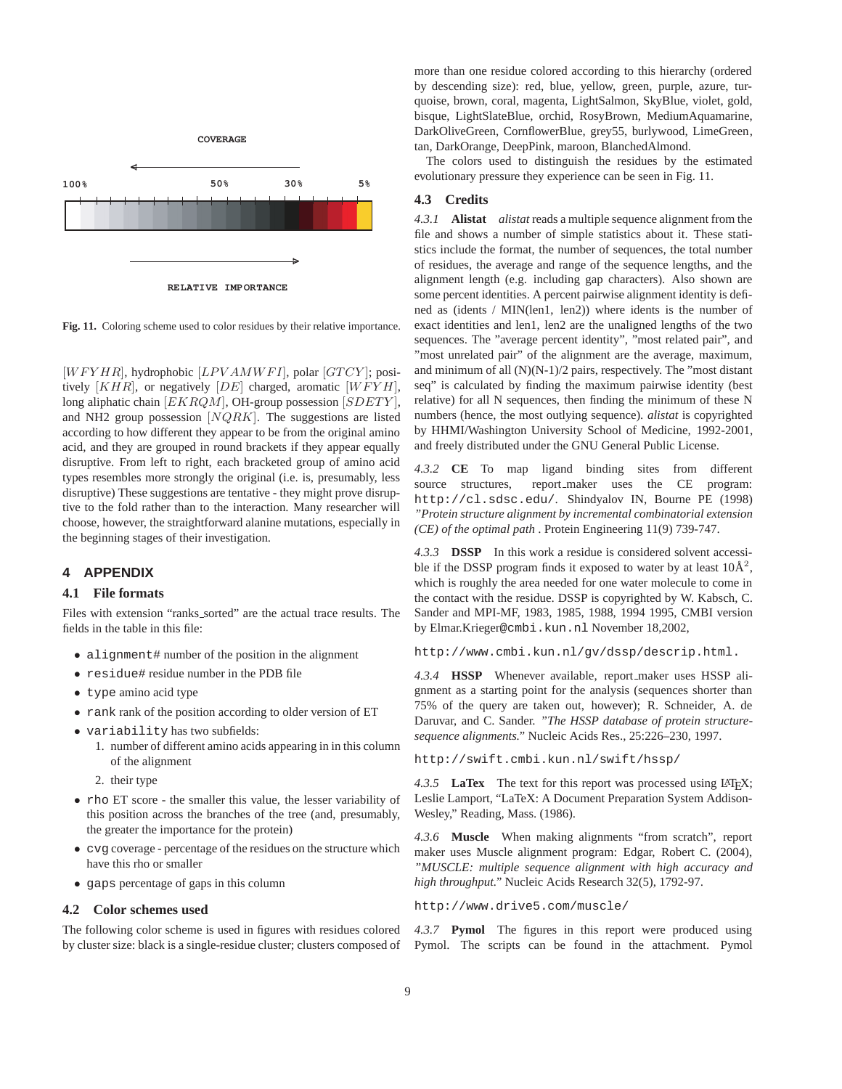

**Fig. 11.** Coloring scheme used to color residues by their relative importance.

 $[WFYHR]$ , hydrophobic  $[LPVAMWFI]$ , polar  $[GTCY]$ ; positively  $[KHR]$ , or negatively  $[DE]$  charged, aromatic  $[WFYH]$ , long aliphatic chain  $[EKRQM]$ , OH-group possession  $[SDETY]$ , and NH2 group possession  $[NQRK]$ . The suggestions are listed according to how different they appear to be from the original amino acid, and they are grouped in round brackets if they appear equally disruptive. From left to right, each bracketed group of amino acid types resembles more strongly the original (i.e. is, presumably, less disruptive) These suggestions are tentative - they might prove disruptive to the fold rather than to the interaction. Many researcher will choose, however, the straightforward alanine mutations, especially in the beginning stages of their investigation.

#### **4 APPENDIX**

#### **4.1 File formats**

Files with extension "ranks sorted" are the actual trace results. The fields in the table in this file:

- alignment# number of the position in the alignment
- residue# residue number in the PDB file
- type amino acid type
- rank rank of the position according to older version of ET
- variability has two subfields:
	- 1. number of different amino acids appearing in in this column of the alignment
	- 2. their type
- rho ET score the smaller this value, the lesser variability of this position across the branches of the tree (and, presumably, the greater the importance for the protein)
- cvg coverage percentage of the residues on the structure which have this rho or smaller
- gaps percentage of gaps in this column

#### **4.2 Color schemes used**

The following color scheme is used in figures with residues colored by cluster size: black is a single-residue cluster; clusters composed of

more than one residue colored according to this hierarchy (ordered by descending size): red, blue, yellow, green, purple, azure, turquoise, brown, coral, magenta, LightSalmon, SkyBlue, violet, gold, bisque, LightSlateBlue, orchid, RosyBrown, MediumAquamarine, DarkOliveGreen, CornflowerBlue, grey55, burlywood, LimeGreen, tan, DarkOrange, DeepPink, maroon, BlanchedAlmond.

The colors used to distinguish the residues by the estimated evolutionary pressure they experience can be seen in Fig. 11.

# **4.3 Credits**

*4.3.1* **Alistat** *alistat* reads a multiple sequence alignment from the file and shows a number of simple statistics about it. These statistics include the format, the number of sequences, the total number of residues, the average and range of the sequence lengths, and the alignment length (e.g. including gap characters). Also shown are some percent identities. A percent pairwise alignment identity is defined as (idents / MIN(len1, len2)) where idents is the number of exact identities and len1, len2 are the unaligned lengths of the two sequences. The "average percent identity", "most related pair", and "most unrelated pair" of the alignment are the average, maximum, and minimum of all (N)(N-1)/2 pairs, respectively. The "most distant seq" is calculated by finding the maximum pairwise identity (best relative) for all N sequences, then finding the minimum of these N numbers (hence, the most outlying sequence). *alistat* is copyrighted by HHMI/Washington University School of Medicine, 1992-2001, and freely distributed under the GNU General Public License.

*4.3.2* **CE** To map ligand binding sites from different source structures, report\_maker uses the CE program: http://cl.sdsc.edu/. Shindyalov IN, Bourne PE (1998) *"Protein structure alignment by incremental combinatorial extension (CE) of the optimal path* . Protein Engineering 11(9) 739-747.

*4.3.3* **DSSP** In this work a residue is considered solvent accessible if the DSSP program finds it exposed to water by at least  $10\text{\AA}^2$ , which is roughly the area needed for one water molecule to come in the contact with the residue. DSSP is copyrighted by W. Kabsch, C. Sander and MPI-MF, 1983, 1985, 1988, 1994 1995, CMBI version by Elmar.Krieger@cmbi.kun.nl November 18,2002,

http://www.cmbi.kun.nl/gv/dssp/descrip.html.

*4.3.4* **HSSP** Whenever available, report maker uses HSSP alignment as a starting point for the analysis (sequences shorter than 75% of the query are taken out, however); R. Schneider, A. de Daruvar, and C. Sander. *"The HSSP database of protein structuresequence alignments."* Nucleic Acids Res., 25:226–230, 1997.

http://swift.cmbi.kun.nl/swift/hssp/

4.3.5 **LaTex** The text for this report was processed using LAT<sub>EX</sub>; Leslie Lamport, "LaTeX: A Document Preparation System Addison-Wesley," Reading, Mass. (1986).

*4.3.6* **Muscle** When making alignments "from scratch", report maker uses Muscle alignment program: Edgar, Robert C. (2004), *"MUSCLE: multiple sequence alignment with high accuracy and high throughput."* Nucleic Acids Research 32(5), 1792-97.

http://www.drive5.com/muscle/

*4.3.7* **Pymol** The figures in this report were produced using Pymol. The scripts can be found in the attachment. Pymol